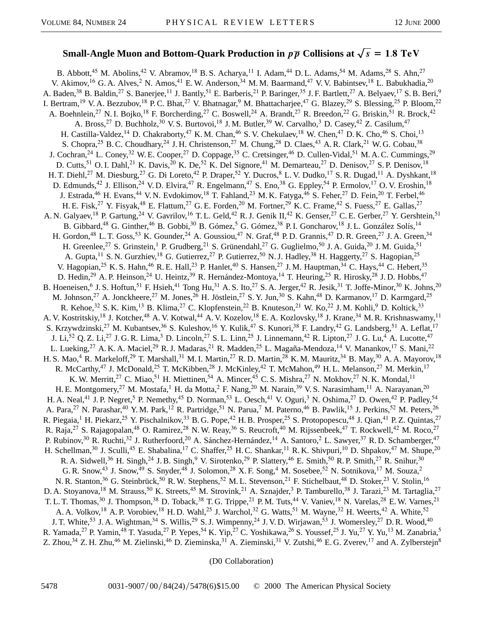## **Small-Angle Muon and Bottom-Ouark Production in**  $p\overline{p}$  **Collisions at**  $\sqrt{s} = 1.8$  TeV

B. Abbott,<sup>45</sup> M. Abolins,<sup>42</sup> V. Abramov,<sup>18</sup> B. S. Acharya,<sup>11</sup> I. Adam,<sup>44</sup> D. L. Adams,<sup>54</sup> M. Adams,<sup>28</sup> S. Ahn,<sup>27</sup> V. Akimov,<sup>16</sup> G. A. Alves,<sup>2</sup> N. Amos,<sup>41</sup> E. W. Anderson,<sup>34</sup> M. M. Baarmand,<sup>47</sup> V. V. Babintsev,<sup>18</sup> L. Babukhadia,<sup>20</sup> A. Baden,<sup>38</sup> B. Baldin,<sup>27</sup> S. Banerjee,<sup>11</sup> J. Bantly,<sup>51</sup> E. Barberis,<sup>21</sup> P. Baringer,<sup>35</sup> J. F. Bartlett,<sup>27</sup> A. Belyaev,<sup>17</sup> S. B. Beri,<sup>9</sup> I. Bertram,<sup>19</sup> V. A. Bezzubov,<sup>18</sup> P. C. Bhat,<sup>27</sup> V. Bhatnagar,<sup>9</sup> M. Bhattacharjee,<sup>47</sup> G. Blazey,<sup>29</sup> S. Blessing,<sup>25</sup> P. Bloom,<sup>22</sup> A. Boehnlein,<sup>27</sup> N. I. Bojko,<sup>18</sup> F. Borcherding,<sup>27</sup> C. Boswell,<sup>24</sup> A. Brandt,<sup>27</sup> R. Breedon,<sup>22</sup> G. Briskin,<sup>51</sup> R. Brock,<sup>42</sup> A. Bross,<sup>27</sup> D. Buchholz,<sup>30</sup> V. S. Burtovoi,<sup>18</sup> J. M. Butler,<sup>39</sup> W. Carvalho,<sup>3</sup> D. Casey,<sup>42</sup> Z. Casilum,<sup>47</sup> H. Castilla-Valdez,<sup>14</sup> D. Chakraborty,<sup>47</sup> K. M. Chan,<sup>46</sup> S. V. Chekulaev,<sup>18</sup> W. Chen,<sup>47</sup> D. K. Cho,<sup>46</sup> S. Choi,<sup>13</sup> S. Chopra,<sup>25</sup> B. C. Choudhary,<sup>24</sup> J. H. Christenson,<sup>27</sup> M. Chung,<sup>28</sup> D. Claes,<sup>43</sup> A. R. Clark,<sup>21</sup> W. G. Cobau,<sup>38</sup> J. Cochran,<sup>24</sup> L. Coney,<sup>32</sup> W. E. Cooper,<sup>27</sup> D. Coppage,<sup>35</sup> C. Cretsinger,<sup>46</sup> D. Cullen-Vidal,<sup>51</sup> M. A. C. Cummings,<sup>29</sup> D. Cutts,<sup>51</sup> O. I. Dahl,<sup>21</sup> K. Davis,<sup>20</sup> K. De,<sup>52</sup> K. Del Signore,<sup>41</sup> M. Demarteau,<sup>27</sup> D. Denisov,<sup>27</sup> S. P. Denisov,<sup>18</sup> H. T. Diehl,<sup>27</sup> M. Diesburg,<sup>27</sup> G. Di Loreto,<sup>42</sup> P. Draper,<sup>52</sup> Y. Ducros,<sup>8</sup> L. V. Dudko,<sup>17</sup> S. R. Dugad,<sup>11</sup> A. Dyshkant,<sup>18</sup> D. Edmunds,<sup>42</sup> J. Ellison,<sup>24</sup> V. D. Elvira,<sup>47</sup> R. Engelmann,<sup>47</sup> S. Eno,<sup>38</sup> G. Eppley,<sup>54</sup> P. Ermolov,<sup>17</sup> O. V. Eroshin,<sup>18</sup> J. Estrada,<sup>46</sup> H. Evans,<sup>44</sup> V. N. Evdokimov,<sup>18</sup> T. Fahland,<sup>23</sup> M. K. Fatyga,<sup>46</sup> S. Feher,<sup>27</sup> D. Fein,<sup>20</sup> T. Ferbel,<sup>46</sup> H. E. Fisk,<sup>27</sup> Y. Fisyak,<sup>48</sup> E. Flattum,<sup>27</sup> G. E. Forden,<sup>20</sup> M. Fortner,<sup>29</sup> K. C. Frame,<sup>42</sup> S. Fuess,<sup>27</sup> E. Gallas,<sup>27</sup> A. N. Galyaev,<sup>18</sup> P. Gartung,<sup>24</sup> V. Gavrilov,<sup>16</sup> T. L. Geld,<sup>42</sup> R. J. Genik II,<sup>42</sup> K. Genser,<sup>27</sup> C. E. Gerber,<sup>27</sup> Y. Gershtein,<sup>51</sup> B. Gibbard,<sup>48</sup> G. Ginther,<sup>46</sup> B. Gobbi,<sup>30</sup> B. Gómez,<sup>5</sup> G. Gómez,<sup>38</sup> P.I. Goncharov,<sup>18</sup> J.L. González Solís,<sup>14</sup> H. Gordon,<sup>48</sup> L. T. Goss,<sup>53</sup> K. Gounder,<sup>24</sup> A. Goussiou,<sup>47</sup> N. Graf,<sup>48</sup> P. D. Grannis,<sup>47</sup> D. R. Green,<sup>27</sup> J. A. Green,<sup>34</sup> H. Greenlee,<sup>27</sup> S. Grinstein,<sup>1</sup> P. Grudberg,<sup>21</sup> S. Grünendahl,<sup>27</sup> G. Guglielmo,<sup>50</sup> J. A. Guida,<sup>20</sup> J. M. Guida,<sup>51</sup> A. Gupta,<sup>11</sup> S. N. Gurzhiev,<sup>18</sup> G. Gutierrez,<sup>27</sup> P. Gutierrez,<sup>50</sup> N. J. Hadley,<sup>38</sup> H. Haggerty,<sup>27</sup> S. Hagopian,<sup>25</sup> V. Hagopian,<sup>25</sup> K. S. Hahn,<sup>46</sup> R. E. Hall,<sup>23</sup> P. Hanlet,<sup>40</sup> S. Hansen,<sup>27</sup> J. M. Hauptman,<sup>34</sup> C. Hays,<sup>44</sup> C. Hebert,<sup>35</sup> D. Hedin,<sup>29</sup> A. P. Heinson,<sup>24</sup> U. Heintz,<sup>39</sup> R. Hernández-Montoya,<sup>14</sup> T. Heuring,<sup>25</sup> R. Hirosky,<sup>28</sup> J. D. Hobbs,<sup>47</sup> B. Hoeneisen,<sup>6</sup> J. S. Hoftun,<sup>51</sup> F. Hsieh,<sup>41</sup> Tong Hu,<sup>31</sup> A. S. Ito,<sup>27</sup> S. A. Jerger,<sup>42</sup> R. Jesik,<sup>31</sup> T. Joffe-Minor,<sup>30</sup> K. Johns,<sup>20</sup> M. Johnson,<sup>27</sup> A. Jonckheere,<sup>27</sup> M. Jones,<sup>26</sup> H. Jöstlein,<sup>27</sup> S. Y. Jun,<sup>30</sup> S. Kahn,<sup>48</sup> D. Karmanov,<sup>17</sup> D. Karmgard,<sup>25</sup> R. Kehoe,<sup>32</sup> S. K. Kim,<sup>13</sup> B. Klima,<sup>27</sup> C. Klopfenstein,<sup>22</sup> B. Knuteson,<sup>21</sup> W. Ko,<sup>22</sup> J. M. Kohli,<sup>9</sup> D. Koltick,<sup>33</sup> A. V. Kostritskiy,<sup>18</sup> J. Kotcher,<sup>48</sup> A. V. Kotwal,<sup>44</sup> A. V. Kozelov,<sup>18</sup> E. A. Kozlovsky,<sup>18</sup> J. Krane,<sup>34</sup> M. R. Krishnaswamy,<sup>11</sup> S. Krzywdzinski,<sup>27</sup> M. Kubantsev,<sup>36</sup> S. Kuleshov,<sup>16</sup> Y. Kulik,<sup>47</sup> S. Kunori,<sup>38</sup> F. Landry,<sup>42</sup> G. Landsberg,<sup>51</sup> A. Leflat,<sup>17</sup> J. Li,<sup>52</sup> Q. Z. Li,<sup>27</sup> J. G. R. Lima,<sup>3</sup> D. Lincoln,<sup>27</sup> S. L. Linn,<sup>25</sup> J. Linnemann,<sup>42</sup> R. Lipton,<sup>27</sup> J. G. Lu,<sup>4</sup> A. Lucotte,<sup>47</sup> L. Lueking,<sup>27</sup> A. K. A. Maciel,<sup>29</sup> R. J. Madaras,<sup>21</sup> R. Madden,<sup>25</sup> L. Magaña-Mendoza,<sup>14</sup> V. Manankov,<sup>17</sup> S. Mani,<sup>22</sup> H. S. Mao,<sup>4</sup> R. Markeloff,<sup>29</sup> T. Marshall,<sup>31</sup> M. I. Martin,<sup>27</sup> R. D. Martin,<sup>28</sup> K. M. Mauritz,<sup>34</sup> B. May,<sup>30</sup> A. A. Mayorov,<sup>18</sup> R. McCarthy,<sup>47</sup> J. McDonald,<sup>25</sup> T. McKibben,<sup>28</sup> J. McKinley,<sup>42</sup> T. McMahon,<sup>49</sup> H. L. Melanson,<sup>27</sup> M. Merkin,<sup>17</sup> K. W. Merritt,<sup>27</sup> C. Miao,<sup>51</sup> H. Miettinen,<sup>54</sup> A. Mincer,<sup>45</sup> C. S. Mishra,<sup>27</sup> N. Mokhov,<sup>27</sup> N. K. Mondal,<sup>11</sup> H. E. Montgomery,<sup>27</sup> M. Mostafa,<sup>1</sup> H. da Motta,<sup>2</sup> F. Nang,<sup>20</sup> M. Narain,<sup>39</sup> V. S. Narasimham,<sup>11</sup> A. Narayanan,<sup>20</sup> H. A. Neal,<sup>41</sup> J. P. Negret,<sup>5</sup> P. Nemethy,<sup>45</sup> D. Norman,<sup>53</sup> L. Oesch,<sup>41</sup> V. Oguri,<sup>3</sup> N. Oshima,<sup>27</sup> D. Owen,<sup>42</sup> P. Padley,<sup>54</sup> A. Para,<sup>27</sup> N. Parashar,<sup>40</sup> Y. M. Park,<sup>12</sup> R. Partridge,<sup>51</sup> N. Parua,<sup>7</sup> M. Paterno,<sup>46</sup> B. Pawlik,<sup>15</sup> J. Perkins,<sup>52</sup> M. Peters,<sup>26</sup> R. Piegaia,<sup>1</sup> H. Piekarz,<sup>25</sup> Y. Pischalnikov,<sup>33</sup> B. G. Pope,<sup>42</sup> H. B. Prosper,<sup>25</sup> S. Protopopescu,<sup>48</sup> J. Qian,<sup>41</sup> P. Z. Quintas,<sup>27</sup> R. Raja,<sup>27</sup> S. Rajagopalan,<sup>48</sup> O. Ramirez,<sup>28</sup> N. W. Reay,<sup>36</sup> S. Reucroft,<sup>40</sup> M. Rijssenbeek,<sup>47</sup> T. Rockwell,<sup>42</sup> M. Roco,<sup>27</sup> P. Rubinov,<sup>30</sup> R. Ruchti,<sup>32</sup> J. Rutherfoord,<sup>20</sup> A. Sánchez-Hernández,<sup>14</sup> A. Santoro,<sup>2</sup> L. Sawyer,<sup>37</sup> R. D. Schamberger,<sup>47</sup> H. Schellman,<sup>30</sup> J. Sculli,<sup>45</sup> E. Shabalina,<sup>17</sup> C. Shaffer,<sup>25</sup> H. C. Shankar,<sup>11</sup> R. K. Shivpuri,<sup>10</sup> D. Shpakov,<sup>47</sup> M. Shupe,<sup>20</sup> R. A. Sidwell,<sup>36</sup> H. Singh,<sup>24</sup> J. B. Singh,<sup>9</sup> V. Sirotenko,<sup>29</sup> P. Slattery,<sup>46</sup> E. Smith,<sup>50</sup> R. P. Smith,<sup>27</sup> R. Snihur,<sup>30</sup> G. R. Snow,<sup>43</sup> J. Snow,<sup>49</sup> S. Snyder,<sup>48</sup> J. Solomon,<sup>28</sup> X. F. Song,<sup>4</sup> M. Sosebee,<sup>52</sup> N. Sotnikova,<sup>17</sup> M. Souza,<sup>2</sup> N. R. Stanton,<sup>36</sup> G. Steinbrück,<sup>50</sup> R. W. Stephens,<sup>52</sup> M. L. Stevenson,<sup>21</sup> F. Stichelbaut,<sup>48</sup> D. Stoker,<sup>23</sup> V. Stolin,<sup>16</sup> D. A. Stoyanova,<sup>18</sup> M. Strauss,<sup>50</sup> K. Streets,<sup>45</sup> M. Strovink,<sup>21</sup> A. Sznajder,<sup>3</sup> P. Tamburello,<sup>38</sup> J. Tarazi,<sup>23</sup> M. Tartaglia,<sup>27</sup> T. L. T. Thomas,<sup>30</sup> J. Thompson,<sup>38</sup> D. Toback,<sup>38</sup> T. G. Trippe,<sup>21</sup> P. M. Tuts,<sup>44</sup> V. Vaniev,<sup>18</sup> N. Varelas,<sup>28</sup> E. W. Varnes,<sup>21</sup> A. A. Volkov,<sup>18</sup> A. P. Vorobiev,<sup>18</sup> H. D. Wahl,<sup>25</sup> J. Warchol,<sup>32</sup> G. Watts,<sup>51</sup> M. Wayne,<sup>32</sup> H. Weerts,<sup>42</sup> A. White,<sup>52</sup> J. T. White,<sup>53</sup> J. A. Wightman,<sup>34</sup> S. Willis,<sup>29</sup> S. J. Wimpenny,<sup>24</sup> J. V. D. Wirjawan,<sup>53</sup> J. Womersley,<sup>27</sup> D. R. Wood,<sup>40</sup> R. Yamada,<sup>27</sup> P. Yamin,<sup>48</sup> T. Yasuda,<sup>27</sup> P. Yepes,<sup>54</sup> K. Yip,<sup>27</sup> C. Yoshikawa,<sup>26</sup> S. Youssef,<sup>25</sup> J. Yu,<sup>27</sup> Y. Yu,<sup>13</sup> M. Zanabria,<sup>5</sup> Z. Zhou,<sup>34</sup> Z. H. Zhu,<sup>46</sup> M. Zielinski,<sup>46</sup> D. Zieminska,<sup>31</sup> A. Zieminski,<sup>31</sup> V. Zutshi,<sup>46</sup> E. G. Zverev,<sup>17</sup> and A. Zylberstejn<sup>8</sup>

(D0 Collaboration)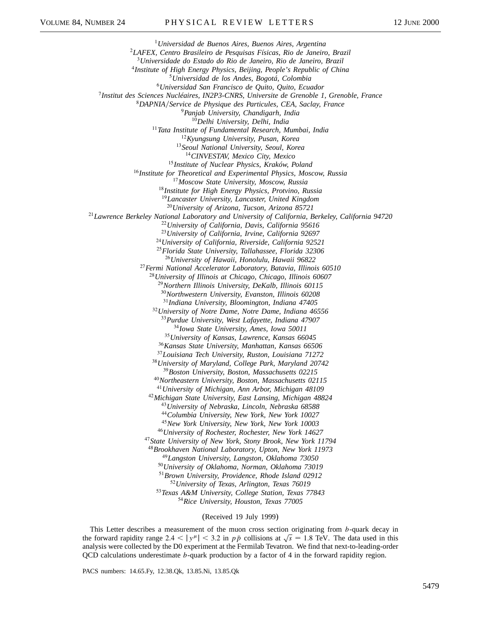*Universidad de Buenos Aires, Buenos Aires, Argentina LAFEX, Centro Brasileiro de Pesquisas Físicas, Rio de Janeiro, Brazil Universidade do Estado do Rio de Janeiro, Rio de Janeiro, Brazil Institute of High Energy Physics, Beijing, People's Republic of China Universidad de los Andes, Bogotá, Colombia Universidad San Francisco de Quito, Quito, Ecuador Institut des Sciences Nucléaires, IN2P3-CNRS, Universite de Grenoble 1, Grenoble, France DAPNIAService de Physique des Particules, CEA, Saclay, France Panjab University, Chandigarh, India Delhi University, Delhi, India Tata Institute of Fundamental Research, Mumbai, India Kyungsung University, Pusan, Korea Seoul National University, Seoul, Korea CINVESTAV, Mexico City, Mexico Institute of Nuclear Physics, Kraków, Poland Institute for Theoretical and Experimental Physics, Moscow, Russia Moscow State University, Moscow, Russia Institute for High Energy Physics, Protvino, Russia Lancaster University, Lancaster, United Kingdom University of Arizona, Tucson, Arizona 85721 Lawrence Berkeley National Laboratory and University of California, Berkeley, California 94720 University of California, Davis, California 95616 University of California, Irvine, California 92697 University of California, Riverside, California 92521 Florida State University, Tallahassee, Florida 32306 University of Hawaii, Honolulu, Hawaii 96822 Fermi National Accelerator Laboratory, Batavia, Illinois 60510 University of Illinois at Chicago, Chicago, Illinois 60607 Northern Illinois University, DeKalb, Illinois 60115 Northwestern University, Evanston, Illinois 60208 Indiana University, Bloomington, Indiana 47405 University of Notre Dame, Notre Dame, Indiana 46556 Purdue University, West Lafayette, Indiana 47907 Iowa State University, Ames, Iowa 50011 University of Kansas, Lawrence, Kansas 66045 Kansas State University, Manhattan, Kansas 66506 Louisiana Tech University, Ruston, Louisiana 71272 University of Maryland, College Park, Maryland 20742 Boston University, Boston, Massachusetts 02215 Northeastern University, Boston, Massachusetts 02115 University of Michigan, Ann Arbor, Michigan 48109 Michigan State University, East Lansing, Michigan 48824 University of Nebraska, Lincoln, Nebraska 68588 Columbia University, New York, New York 10027 New York University, New York, New York 10003 University of Rochester, Rochester, New York 14627 State University of New York, Stony Brook, New York 11794 Brookhaven National Laboratory, Upton, New York 11973 Langston University, Langston, Oklahoma 73050 University of Oklahoma, Norman, Oklahoma 73019 Brown University, Providence, Rhode Island 02912 University of Texas, Arlington, Texas 76019 Texas A&M University, College Station, Texas 77843 Rice University, Houston, Texas 77005*

(Received 19 July 1999)

This Letter describes a measurement of the muon cross section originating from *b*-quark decay in the forward rapidity range 2.4  $\langle y^{\mu}| < 3.2$  in  $p\bar{p}$  collisions at  $\sqrt{s} = 1.8$  TeV. The data used in this analysis were collected by the D0 experiment at the Fermilab Tevatron. We find that next-to-leading-order QCD calculations underestimate *b*-quark production by a factor of 4 in the forward rapidity region.

PACS numbers: 14.65.Fy, 12.38.Qk, 13.85.Ni, 13.85.Qk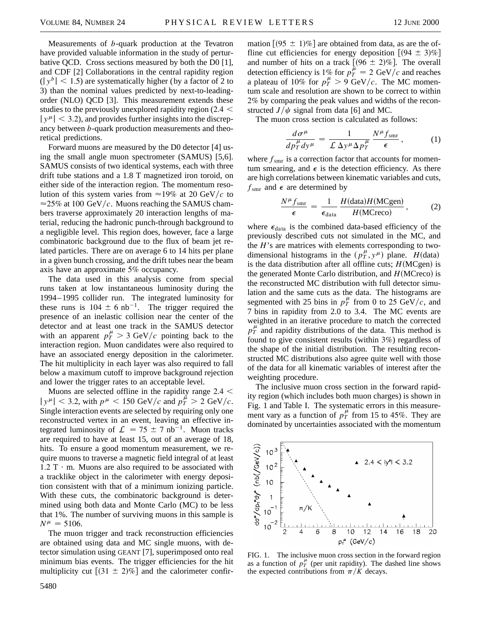Measurements of *b*-quark production at the Tevatron have provided valuable information in the study of perturbative QCD. Cross sections measured by both the D0 [1], and CDF [2] Collaborations in the central rapidity region  $(|y^b| < 1.5)$  are systematically higher (by a factor of 2 to 3) than the nominal values predicted by next-to-leadingorder (NLO) QCD [3]. This measurement extends these studies to the previously unexplored rapidity region (2.4  $\leq$  $|y^{\mu}| < 3.2$ ), and provides further insights into the discrepancy between *b*-quark production measurements and theoretical predictions.

Forward muons are measured by the D0 detector [4] using the small angle muon spectrometer (SAMUS) [5,6]. SAMUS consists of two identical systems, each with three drift tube stations and a 1.8 T magnetized iron toroid, on either side of the interaction region. The momentum resolution of this system varies from  $\approx$  19% at 20 GeV/c to  $\approx$ 25% at 100 GeV/c. Muons reaching the SAMUS chambers traverse approximately 20 interaction lengths of material, reducing the hadronic punch-through background to a negligible level. This region does, however, face a large combinatoric background due to the flux of beam jet related particles. There are on average 6 to 14 hits per plane in a given bunch crossing, and the drift tubes near the beam axis have an approximate 5% occupancy.

The data used in this analysis come from special runs taken at low instantaneous luminosity during the 1994–1995 collider run. The integrated luminosity for these runs is  $104 \pm 6$  nb<sup>-1</sup>. The trigger required the presence of an inelastic collision near the center of the detector and at least one track in the SAMUS detector with an apparent  $p_T^{\mu} > 3$  GeV/c pointing back to the interaction region. Muon candidates were also required to have an associated energy deposition in the calorimeter. The hit multiplicity in each layer was also required to fall below a maximum cutoff to improve background rejection and lower the trigger rates to an acceptable level.

Muons are selected offline in the rapidity range  $2.4 <$  $|y^{\mu}| < 3.2$ , with  $p^{\mu} < 150 \text{ GeV}/c$  and  $p_T^{\mu} > 2 \text{ GeV}/c$ . Single interaction events are selected by requiring only one reconstructed vertex in an event, leaving an effective integrated luminosity of  $\mathcal{L} = 75 \pm 7$  nb<sup>-1</sup>. Muon tracks are required to have at least 15, out of an average of 18, hits. To ensure a good momentum measurement, we require muons to traverse a magnetic field integral of at least  $1.2$  T  $\cdot$  m. Muons are also required to be associated with a tracklike object in the calorimeter with energy deposition consistent with that of a minimum ionizing particle. With these cuts, the combinatoric background is determined using both data and Monte Carlo (MC) to be less that 1%. The number of surviving muons in this sample is  $N^{\mu} = 5106$ .

The muon trigger and track reconstruction efficiencies are obtained using data and MC single muons, with detector simulation using GEANT [7], superimposed onto real minimum bias events. The trigger efficiencies for the hit multiplicity cut  $[(31 \pm 2)\%]$  and the calorimeter confir-

mation  $(95 \pm 1)\%$  are obtained from data, as are the offline cut efficiencies for energy deposition  $(94 \pm 3)\%$ and number of hits on a track  $[(96 \pm 2)\%]$ . The overall detection efficiency is 1% for  $p_T^{\mu} = 2 \text{ GeV}/c$  and reaches a plateau of 10% for  $p_T^{\mu} > 9$  GeV/c. The MC momentum scale and resolution are shown to be correct to within 2% by comparing the peak values and widths of the reconstructed  $J/\psi$  signal from data [6] and MC.

The muon cross section is calculated as follows:

$$
\frac{d\sigma^{\mu}}{dp_T^{\mu}dy^{\mu}} = \frac{1}{\mathcal{L}\,\Delta y^{\mu}\Delta p_T^{\mu}} \frac{N^{\mu}f_{\text{smr}}}{\epsilon},\tag{1}
$$

where  $f_{\rm smr}$  is a correction factor that accounts for momentum smearing, and  $\epsilon$  is the detection efficiency. As there are high correlations between kinematic variables and cuts,  $f_{\text{smr}}$  and  $\epsilon$  are determined by

$$
\frac{N^{\mu} f_{\text{smr}}}{\epsilon} = \frac{1}{\epsilon_{\text{data}}} \frac{H(\text{data})H(\text{MCgen})}{H(\text{MCrec})},\tag{2}
$$

where  $\epsilon_{data}$  is the combined data-based efficiency of the previously described cuts not simulated in the MC, and the *H*'s are matrices with elements corresponding to twodimensional histograms in the  $(p_T^{\mu}, y^{\mu})$  plane. *H*(data) is the data distribution after all offline cuts;  $H(MCgen)$  is the generated Monte Carlo distribution, and *H*(MCreco) is the reconstructed MC distribution with full detector simulation and the same cuts as the data. The histograms are segmented with 25 bins in  $p_T^{\mu}$  from 0 to 25 GeV/c, and 7 bins in rapidity from 2.0 to 3.4. The MC events are weighted in an iterative procedure to match the corrected  $p_T^{\mu}$  and rapidity distributions of the data. This method is found to give consistent results (within 3%) regardless of the shape of the initial distribution. The resulting reconstructed MC distributions also agree quite well with those of the data for all kinematic variables of interest after the weighting procedure.

The inclusive muon cross section in the forward rapidity region (which includes both muon charges) is shown in Fig. 1 and Table I. The systematic errors in this measurement vary as a function of  $p_T^{\mu}$  from 15 to 45%. They are dominated by uncertainties associated with the momentum



FIG. 1. The inclusive muon cross section in the forward region as a function of  $p_T^{\mu}$  (per unit rapidity). The dashed line shows the expected contributions from  $\pi/K$  decays.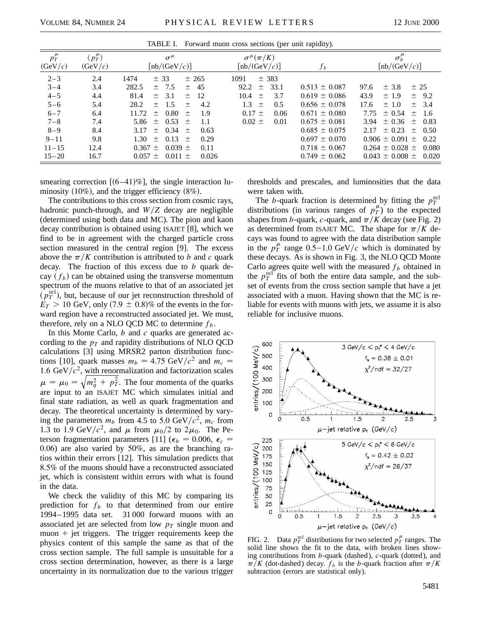| TADLE 1. TOTWARD muon cross secuons (per unit rapidity).                                                        |                                                                      |                                                                                                                                                                                                                                                                                                                                                                     |                                                                                                                              |                                                                                                                                                                                           |                                                                                                                                                                                                                                                                                           |  |  |  |  |
|-----------------------------------------------------------------------------------------------------------------|----------------------------------------------------------------------|---------------------------------------------------------------------------------------------------------------------------------------------------------------------------------------------------------------------------------------------------------------------------------------------------------------------------------------------------------------------|------------------------------------------------------------------------------------------------------------------------------|-------------------------------------------------------------------------------------------------------------------------------------------------------------------------------------------|-------------------------------------------------------------------------------------------------------------------------------------------------------------------------------------------------------------------------------------------------------------------------------------------|--|--|--|--|
| $p_T^{\mu}$<br>(GeV/c)                                                                                          | $\langle p_T^{\mu} \rangle$<br>(GeV/c)                               | $\sigma^{\mu}$<br>$[{\rm nb}/({\rm GeV}/c)]$                                                                                                                                                                                                                                                                                                                        | $\sigma^{\mu}(\pi/K)$<br>$[{\rm nb}/({\rm GeV}/c)]$                                                                          | $f_b$                                                                                                                                                                                     | $\sigma_b^{\mu}$<br>$[{\rm nb}/({\rm GeV}/c)]$                                                                                                                                                                                                                                            |  |  |  |  |
| $2 - 3$<br>$3 - 4$<br>$4 - 5$<br>$5 - 6$<br>$6 - 7$<br>$7 - 8$<br>$8 - 9$<br>$9 - 11$<br>$11 - 15$<br>$15 - 20$ | 2.4<br>3.4<br>4.4<br>5.4<br>6.4<br>7.4<br>8.4<br>9.8<br>12.4<br>16.7 | 1474<br>± 265<br>± 33<br>282.5<br>45<br>$\pm$ 7.5<br>$\pm$<br>81.4<br>3.1<br>- 12<br>$+$<br>$+$<br>28.2<br>4.2<br>$+$<br>$\pm$ 1.5<br>11.72<br>0.80<br>1.9<br>$+$<br>$+$<br>$\pm$ 0.53<br>5.86<br>1.1<br>$+$<br>$\pm$ 0.34 $\pm$<br>3.17<br>0.63<br>0.13<br>1.30<br>0.29<br>土<br>$+$<br>$0.367 \pm 0.039 \pm 0.039$<br>0.11<br>$0.057 \pm 0.011 \pm 0.011$<br>0.026 | 1091<br>$\pm$ 383<br>92.2<br>33.1<br>$+$<br>3.7<br>10.4<br>$+$<br>$1.3 \pm$<br>0.5<br>$0.17 \pm$<br>0.06<br>$0.02 +$<br>0.01 | $0.513 \pm 0.087$<br>$0.619 \pm 0.086$<br>$0.656 \pm 0.078$<br>$0.671 \pm 0.080$<br>$0.675 \pm 0.081$<br>$0.685 \pm 0.075$<br>$0.697 \pm 0.070$<br>$0.718 \pm 0.067$<br>$0.749 \pm 0.062$ | $\pm$ 3.8<br>± 25<br>97.6<br>$\pm 1.9$<br>43.9<br>$\pm$ 9.2<br>17.6<br>$\pm$ 1.0<br>$\pm$ 3.4<br>7.75<br>$\pm 0.54$<br>$\pm$ 1.6<br>$3.94 \pm 0.36 \pm 0.83$<br>$2.17 \pm 0.23$<br>$\pm$ 0.50<br>$0.906 \pm 0.091 \pm 0.22$<br>$0.264 \pm 0.028 \pm 0.080$<br>$0.043 \pm 0.008 \pm 0.020$ |  |  |  |  |

TABLE I. Forward muon cross sections (per unit rapidity).

smearing correction  $[(6-41)\%]$ , the single interaction luminosity  $(10\%)$ , and the trigger efficiency  $(8\%)$ .

The contributions to this cross section from cosmic rays, hadronic punch-through, and  $W/Z$  decay are negligible (determined using both data and MC). The pion and kaon decay contribution is obtained using ISAJET [8], which we find to be in agreement with the charged particle cross section measured in the central region [9]. The excess above the  $\pi/K$  contribution is attributed to *b* and *c* quark decay. The fraction of this excess due to *b* quark decay  $(f_b)$  can be obtained using the transverse momentum spectrum of the muons relative to that of an associated jet  $(p_T^{\text{rel}})$ , but, because of our jet reconstruction threshold of  $E_T > 10$  GeV, only  $(7.9 \pm 0.8)\%$  of the events in the forward region have a reconstructed associated jet. We must, therefore, rely on a NLO QCD MC to determine  $f<sub>b</sub>$ .

In this Monte Carlo, *b* and *c* quarks are generated according to the  $p_T$  and rapidity distributions of NLO QCD calculations [3] using MRSR2 parton distribution functions [10], quark masses  $m_b = 4.75 \text{ GeV}/c^2$  and  $m_c =$ 1.6 GeV/ $c^2$ , with renormalization and factorization scales  $\mu = \mu_0 = \sqrt{m_q^2 + p_T^2}$ . The four momenta of the quarks are input to an ISAJET MC which simulates initial and final state radiation, as well as quark fragmentation and decay. The theoretical uncertainty is determined by varying the parameters  $m_b$  from 4.5 to 5.0 GeV/ $c^2$ ,  $m_c$  from 1.3 to 1.9 GeV/ $c^2$ , and  $\mu$  from  $\mu_0/2$  to  $2\mu_0$ . The Peterson fragmentation parameters [11] ( $\epsilon_b$  = 0.006,  $\epsilon_c$  = 0.06) are also varied by 50%, as are the branching ratios within their errors [12]. This simulation predicts that 8.5% of the muons should have a reconstructed associated jet, which is consistent within errors with what is found in the data.

We check the validity of this MC by comparing its prediction for  $f_b$  to that determined from our entire 1994–1995 data set. 31 000 forward muons with an associated jet are selected from low  $p<sub>T</sub>$  single muon and  $muon + jet triggers.$  The trigger requirements keep the physics content of this sample the same as that of the cross section sample. The full sample is unsuitable for a cross section determination, however, as there is a large uncertainty in its normalization due to the various trigger thresholds and prescales, and luminosities that the data were taken with.

The *b*-quark fraction is determined by fitting the  $p_T^{\text{rel}}$ distributions (in various ranges of  $p_T^{\mu}$ ) to the expected shapes from *b*-quark, *c*-quark, and  $\pi/K$  decay (see Fig. 2) as determined from ISAJET MC. The shape for  $\pi/K$  decays was found to agree with the data distribution sample in the  $p_T^{\mu}$  range  $0.5-1.0$  GeV/c which is dominated by these decays. As is shown in Fig. 3, the NLO QCD Monte Carlo agrees quite well with the measured  $f_b$  obtained in the  $p_T^{\text{ref}}$  fits of both the entire data sample, and the subset of events from the cross section sample that have a jet associated with a muon. Having shown that the MC is reliable for events with muons with jets, we assume it is also reliable for inclusive muons.



FIG. 2. Data  $p_T^{\text{rel}}$  distributions for two selected  $p_T^{\mu}$  ranges. The solid line shows the fit to the data, with broken lines showing contributions from *b*-quark (dashed), *c*-quark (dotted), and  $\pi/K$  (dot-dashed) decay.  $f_b$  is the *b*-quark fraction after  $\pi/K$ subtraction (errors are statistical only).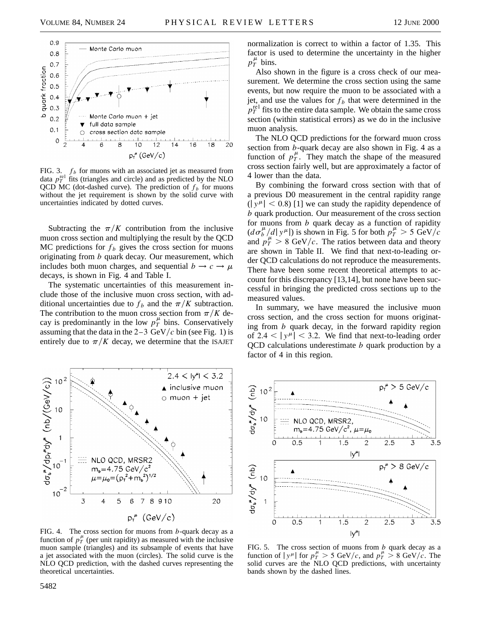

FIG. 3.  $f_b$  for muons with an associated jet as measured from data  $p_T^{\text{rel}}$  fits (triangles and circle) and as predicted by the NLO QCD MC (dot-dashed curve). The prediction of  $f<sub>b</sub>$  for muons without the jet requirement is shown by the solid curve with uncertainties indicated by dotted curves.

Subtracting the  $\pi/K$  contribution from the inclusive muon cross section and multiplying the result by the QCD MC predictions for  $f_b$  gives the cross section for muons originating from *b* quark decay. Our measurement, which includes both muon charges, and sequential  $b \rightarrow c \rightarrow \mu$ decays, is shown in Fig. 4 and Table I.

The systematic uncertainties of this measurement include those of the inclusive muon cross section, with additional uncertainties due to  $f_b$  and the  $\pi/K$  subtraction. The contribution to the muon cross section from  $\pi/K$  decay is predominantly in the low  $p_T^{\mu}$  bins. Conservatively assuming that the data in the  $2-3$  GeV/ $c$  bin (see Fig. 1) is entirely due to  $\pi/K$  decay, we determine that the ISAJET



FIG. 4. The cross section for muons from *b*-quark decay as a function of  $p_T^{\mu}$  (per unit rapidity) as measured with the inclusive muon sample (triangles) and its subsample of events that have a jet associated with the muon (circles). The solid curve is the NLO QCD prediction, with the dashed curves representing the theoretical uncertainties.

normalization is correct to within a factor of 1.35. This factor is used to determine the uncertainty in the higher  $p_T^{\mu}$  bins.

Also shown in the figure is a cross check of our measurement. We determine the cross section using the same events, but now require the muon to be associated with a jet, and use the values for  $f<sub>b</sub>$  that were determined in the  $p_T^{\text{rel}}$  fits to the entire data sample. We obtain the same cross section (within statistical errors) as we do in the inclusive muon analysis.

The NLO QCD predictions for the forward muon cross section from *b*-quark decay are also shown in Fig. 4 as a function of  $p_T^{\mu}$ . They match the shape of the measured cross section fairly well, but are approximately a factor of 4 lower than the data.

By combining the forward cross section with that of a previous D0 measurement in the central rapidity range  $(|y^{\mu}| < 0.8)$  [1] we can study the rapidity dependence of *b* quark production. Our measurement of the cross section for muons from *b* quark decay as a function of rapidity  $(d\sigma_b^{\mu}/d|y^{\mu}|)$  is shown in Fig. 5 for both  $p_T^{\mu} > 5$  GeV/c and  $p_T^{\mu} > 8$  GeV/c. The ratios between data and theory are shown in Table II. We find that next-to-leading order QCD calculations do not reproduce the measurements. There have been some recent theoretical attempts to account for this discrepancy [13,14], but none have been successful in bringing the predicted cross sections up to the measured values.

In summary, we have measured the inclusive muon cross section, and the cross section for muons originating from *b* quark decay, in the forward rapidity region of  $2.4 < |y^{\mu}| < 3.2$ . We find that next-to-leading order QCD calculations underestimate *b* quark production by a factor of 4 in this region.



FIG. 5. The cross section of muons from *b* quark decay as a function of  $|y^{\mu}|$  for  $p_T^{\mu} > 5$  GeV/c, and  $p_T^{\mu} > 8$  GeV/c. The solid curves are the NLO QCD predictions, with uncertainty bands shown by the dashed lines.